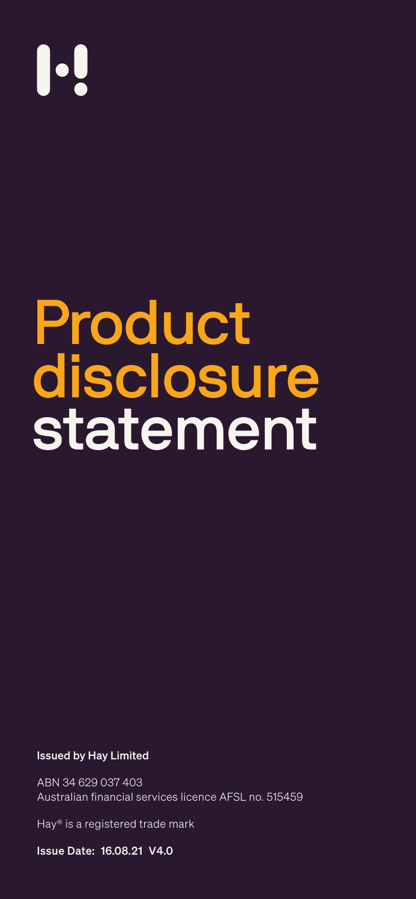### Issued by Hay Limited

ABN 34 629 037 403 Australian financial services licence AFSL no. 515459

Hay® is a registered trade mark

Issue Date: 16.08.21 V4.0

# 

Product

# disclosure statement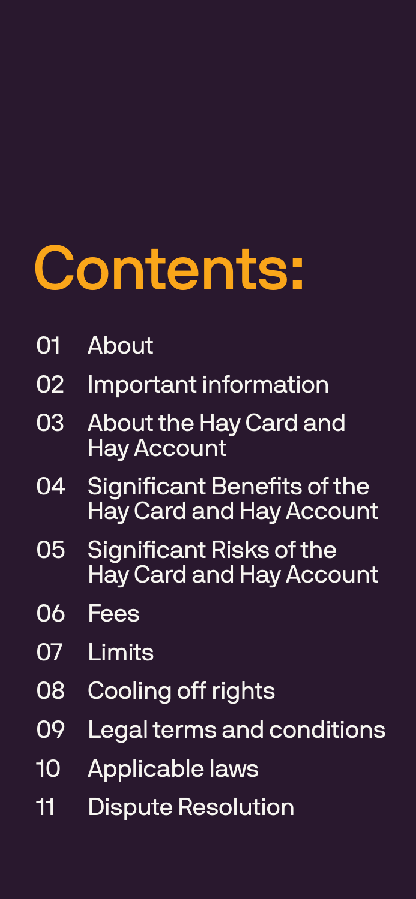<span id="page-1-0"></span>

# **[About](#page-2-0)**

- 02 [Important information](#page-2-0)
- 03 [About the Hay Card and](#page-4-0) [Hay Account](#page-4-0)
- 04 [Significant Benefits of the](#page-5-0) [Hay Card and Hay Account](#page-5-0)
- 05 [Significant Risks of the](#page-6-0) [Hay Card and Hay Account](#page-6-0)
- 06 [Fees](#page-9-0)
- [Limits](#page-10-0)

# 08 [Cooling off rights](#page-10-0) 09 [Legal terms and conditions](#page-11-0) 10 [Applicable laws](#page-12-0) 11 [Dispute Resolution](#page-13-0)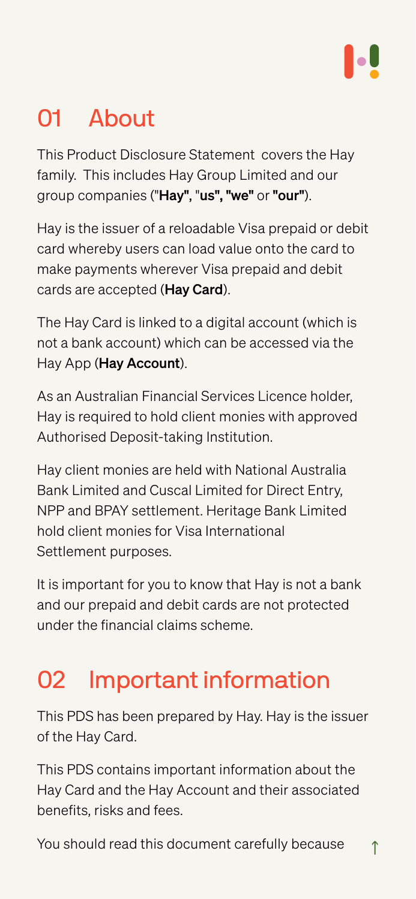## <span id="page-2-0"></span>**About**

This Product Disclosure Statement covers the Hay family. This includes Hay Group Limited and our group companies ("Hay", "us", "we" or "our").

Hay is the issuer of a reloadable Visa prepaid or debit card whereby users can load value onto the card to make payments wherever Visa prepaid and debit cards are accepted (Hay Card).

The Hay Card is linked to a digital account (which is

not a bank account) which can be accessed via the Hay App (Hay Account).

As an Australian Financial Services Licence holder, Hay is required to hold client monies with approved Authorised Deposit-taking Institution.

Hay client monies are held with National Australia Bank Limited and Cuscal Limited for Direct Entry, NPP and BPAY settlement. Heritage Bank Limited hold client monies for Visa International Settlement purposes.

It is important for you to know that Hay is not a bank and our prepaid and debit cards are not protected under the financial claims scheme.

### Important information

This PDS has been prepared by Hay. Hay is the issuer of the Hay Card.

This PDS contains important information about the Hay Card and the Hay Account and their associated benefits, risks and fees.

You should read this document carefully because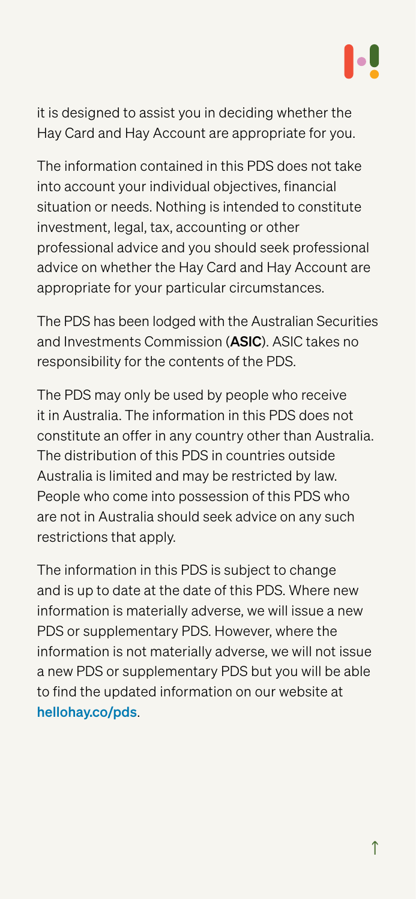it is designed to assist you in deciding whether the Hay Card and Hay Account are appropriate for you.

The information contained in this PDS does not take into account your individual objectives, financial situation or needs. Nothing is intended to constitute investment, legal, tax, accounting or other professional advice and you should seek professional advice on whether the Hay Card and Hay Account are appropriate for your particular circumstances.

The PDS has been lodged with the Australian Securities

and Investments Commission (ASIC). ASIC takes no responsibility for the contents of the PDS.

The PDS may only be used by people who receive it in Australia. The information in this PDS does not constitute an offer in any country other than Australia. The distribution of this PDS in countries outside Australia is limited and may be restricted by law. People who come into possession of this PDS who are not in Australia should seek advice on any such restrictions that apply.

The information in this PDS is subject to change and is up to date at the date of this PDS. Where new information is materially adverse, we will issue a new PDS or supplementary PDS. However, where the information is not materially adverse, we will not issue

a new PDS or supplementary PDS but you will be able to find the updated information on our website at [hellohay.co/pds](https://hellohay.co/pds).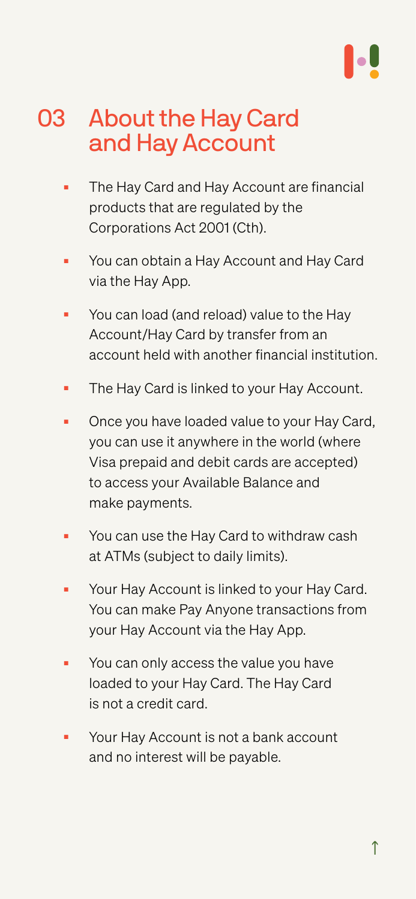### <span id="page-4-0"></span>03 About the Hay Card and Hay Account

- The Hay Card and Hay Account are financial products that are regulated by the Corporations Act 2001 (Cth).
- You can obtain a Hay Account and Hay Card via the Hay App.
- You can load (and reload) value to the Hay

Account/Hay Card by transfer from an account held with another financial institution.

- The Hay Card is linked to your Hay Account.
- Once you have loaded value to your Hay Card, you can use it anywhere in the world (where Visa prepaid and debit cards are accepted) to access your Available Balance and make payments.
- You can use the Hay Card to withdraw cash at ATMs (subject to daily limits).
- Your Hay Account is linked to your Hay Card. You can make Pay Anyone transactions from your Hay Account via the Hay App.
- You can only access the value you have loaded to your Hay Card. The Hay Card is not a credit card.
- Your Hay Account is not a bank account and no interest will be payable.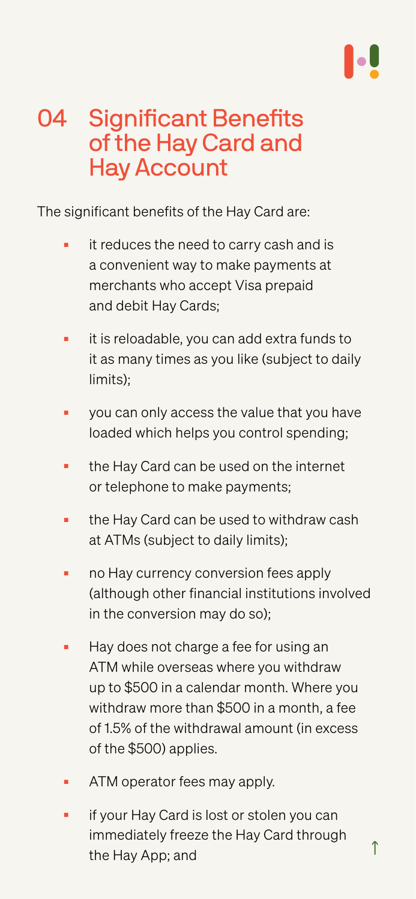### <span id="page-5-0"></span>04 Significant Benefits of the Hay Card and Hay Account

The significant benefits of the Hay Card are:

- it reduces the need to carry cash and is a convenient way to make payments at merchants who accept Visa prepaid and debit Hay Cards;
- it is reloadable, you can add extra funds to it as many times as you like (subject to daily limits);
- you can only access the value that you have loaded which helps you control spending;
- the Hay Card can be used on the internet or telephone to make payments;
- the Hay Card can be used to withdraw cash at ATMs (subject to daily limits);
- no Hay currency conversion fees apply (although other financial institutions involved in the conversion may do so);
- Hay does not charge a fee for using an

- ATM operator fees may apply.
- if your Hay Card is lost or stolen you can immediately freeze the Hay Card through the Hay App; and

ATM while overseas where you withdraw up to \$500 in a calendar month. Where you withdraw more than \$500 in a month, a fee of 1.5% of the withdrawal amount (in excess of the \$500) applies.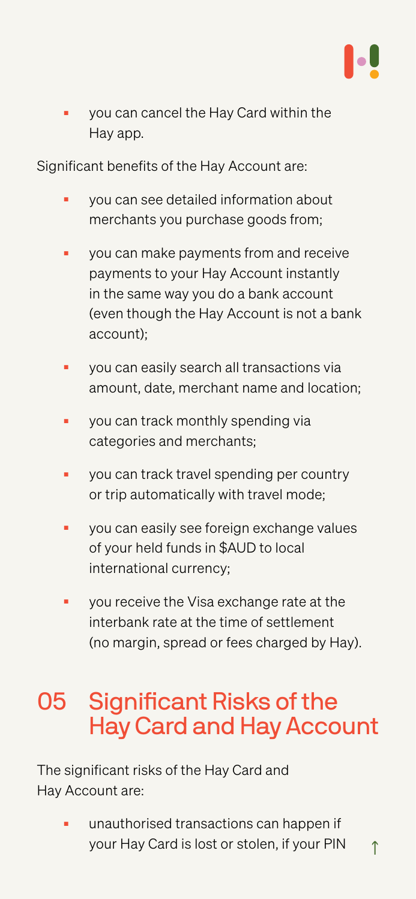<span id="page-6-0"></span>■ you can cancel the Hay Card within the Hay app.

Significant benefits of the Hay Account are:

- you can see detailed information about merchants you purchase goods from;
- you can make payments from and receive payments to your Hay Account instantly in the same way you do a bank account (even though the Hay Account is not a bank
	- account);
- you can easily search all transactions via amount, date, merchant name and location;
- you can track monthly spending via categories and merchants;
- you can track travel spending per country or trip automatically with travel mode;
- you can easily see foreign exchange values of your held funds in \$AUD to local international currency;
- you receive the Visa exchange rate at the interbank rate at the time of settlement (no margin, spread or fees charged by Hay).

[↑](#page-1-0) ■ unauthorised transactions can happen if your Hay Card is lost or stolen, if your PIN

### 05 Significant Risks of the Hay Card and Hay Account

The significant risks of the Hay Card and Hay Account are: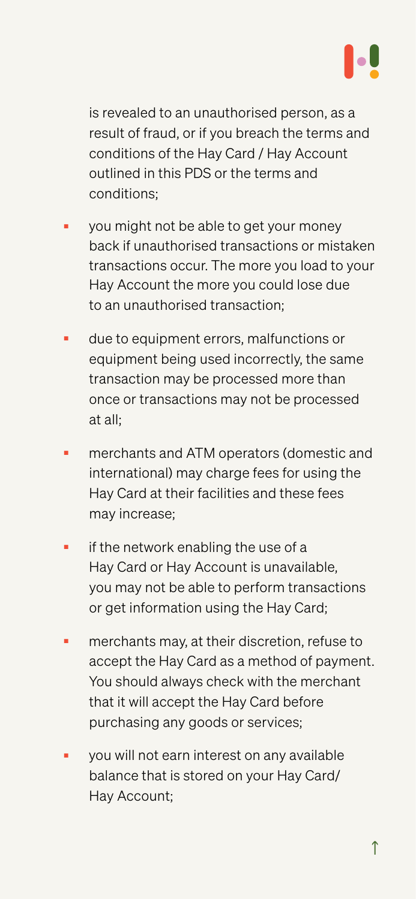is revealed to an unauthorised person, as a result of fraud, or if you breach the terms and conditions of the Hay Card / Hay Account outlined in this PDS or the terms and conditions;

- you might not be able to get your money back if unauthorised transactions or mistaken transactions occur. The more you load to your Hay Account the more you could lose due to an unauthorised transaction;
- due to equipment errors, malfunctions or equipment being used incorrectly, the same transaction may be processed more than once or transactions may not be processed at all;
- merchants and ATM operators (domestic and international) may charge fees for using the Hay Card at their facilities and these fees may increase;
- if the network enabling the use of a Hay Card or Hay Account is unavailable, you may not be able to perform transactions or get information using the Hay Card;
- merchants may, at their discretion, refuse to accept the Hay Card as a method of payment.

you will not earn interest on any available balance that is stored on your Hay Card/ Hay Account;

You should always check with the merchant that it will accept the Hay Card before purchasing any goods or services;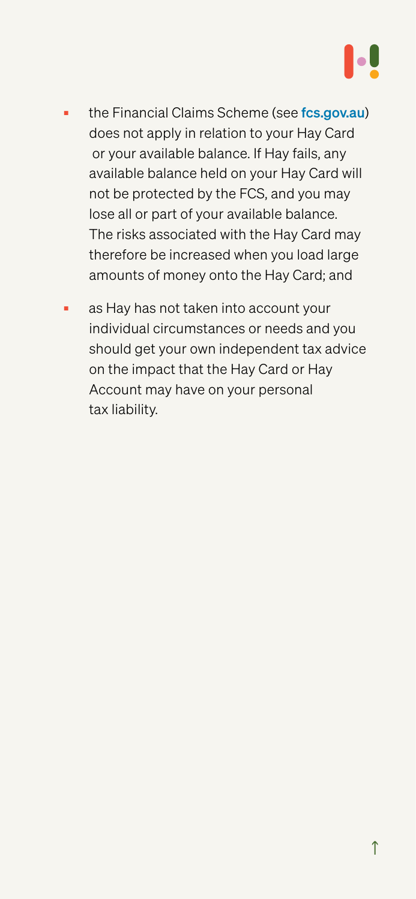- the Financial Claims Scheme (see [fcs.gov.au](https://www.apra.gov.au/financial-claims-scheme-0)) does not apply in relation to your Hay Card or your available balance. If Hay fails, any available balance held on your Hay Card will not be protected by the FCS, and you may lose all or part of your available balance. The risks associated with the Hay Card may therefore be increased when you load large amounts of money onto the Hay Card; and
- as Hay has not taken into account your individual circumstances or needs and you

should get your own independent tax advice on the impact that the Hay Card or Hay Account may have on your personal tax liability.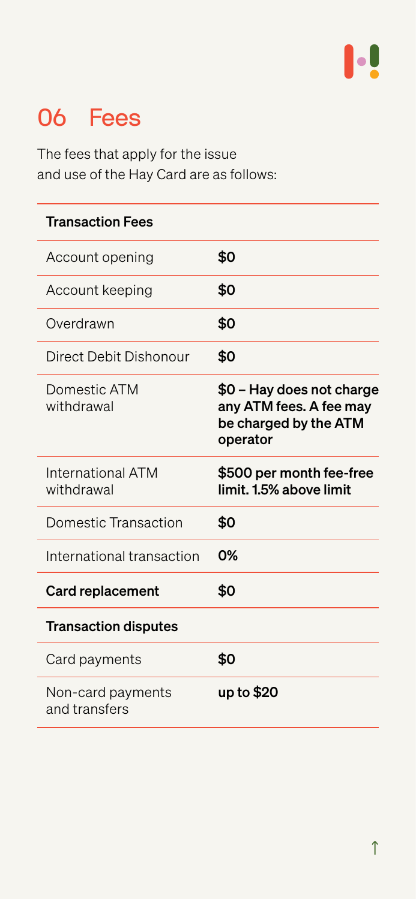## <span id="page-9-0"></span>06 Fees

The fees that apply for the issue and use of the Hay Card are as follows:

### Transaction Fees

Card payments  $\mathbf{\Phi}$ 

| Account opening | \$0 |
|-----------------|-----|
| Account keeping | \$0 |
| Overdrawn       | \$0 |

| Card naymonts                   |                                                                                           |
|---------------------------------|-------------------------------------------------------------------------------------------|
| <b>Transaction disputes</b>     |                                                                                           |
| <b>Card replacement</b>         | <b>SO</b>                                                                                 |
| International transaction       | $O\%$                                                                                     |
| Domestic Transaction            | <b>SO</b>                                                                                 |
| International ATM<br>withdrawal | \$500 per month fee-free<br>limit. 1.5% above limit                                       |
| Domestic ATM<br>withdrawal      | \$0 - Hay does not charge<br>any ATM fees. A fee may<br>be charged by the ATM<br>operator |
| Direct Debit Dishonour          | <b>SO</b>                                                                                 |

Non-card payments and transfers

### up to \$20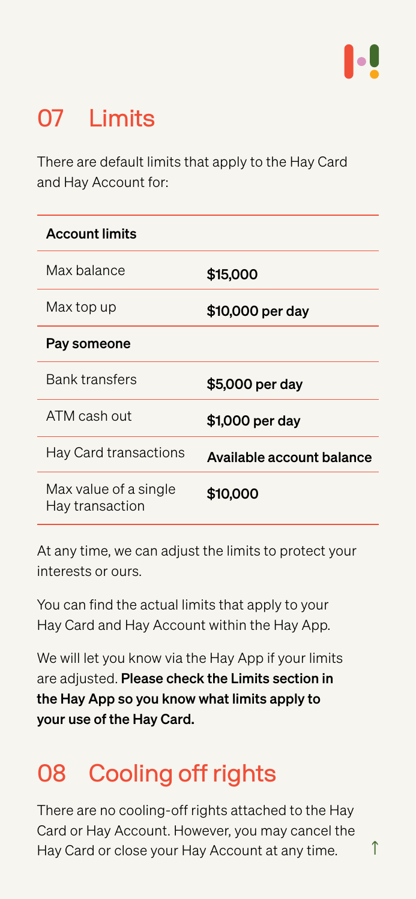## <span id="page-10-0"></span>07 Limits

There are default limits that apply to the Hay Card and Hay Account for:

At any time, we can adjust the limits to protect your interests or ours.

You can find the actual limits that apply to your Hay Card and Hay Account within the Hay App.

We will let you know via the Hay App if your limits

are adjusted. Please check the Limits section in the Hay App so you know what limits apply to your use of the Hay Card.

# 08 Cooling off rights

There are no cooling-off rights attached to the Hay Card or Hay Account. However, you may cancel the Hay Card or close your Hay Account at any time.

### Pay someone

| <b>Account limits</b> |                  |
|-----------------------|------------------|
| Max balance           | \$15,000         |
| Max top up            | \$10,000 per day |

| <b>Bank transfers</b>        | \$5,000 per day                  |
|------------------------------|----------------------------------|
| ATM cash out                 | \$1,000 per day                  |
| <b>Hay Card transactions</b> | <b>Available account balance</b> |
| Max value of a single        | \$10,000                         |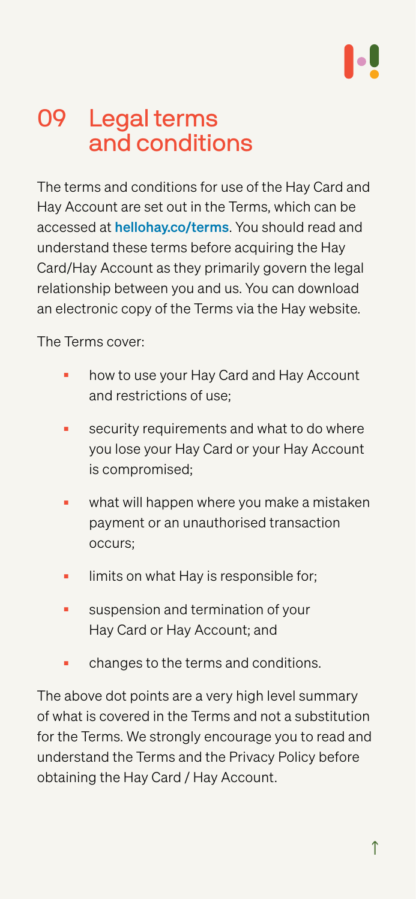## <span id="page-11-0"></span>Legal terms and conditions

The terms and conditions for use of the Hay Card and Hay Account are set out in the Terms, which can be accessed at [hellohay.co/terms](http://hellohay.co/terms/). You should read and understand these terms before acquiring the Hay Card/Hay Account as they primarily govern the legal relationship between you and us. You can download an electronic copy of the Terms via the Hay website.

### The Terms cover:

- how to use your Hay Card and Hay Account and restrictions of use;
- security requirements and what to do where you lose your Hay Card or your Hay Account is compromised;
- what will happen where you make a mistaken payment or an unauthorised transaction occurs;
- limits on what Hay is responsible for;
- suspension and termination of your Hay Card or Hay Account; and
- changes to the terms and conditions.

The above dot points are a very high level summary of what is covered in the Terms and not a substitution for the Terms. We strongly encourage you to read and understand the Terms and the Privacy Policy before obtaining the Hay Card / Hay Account.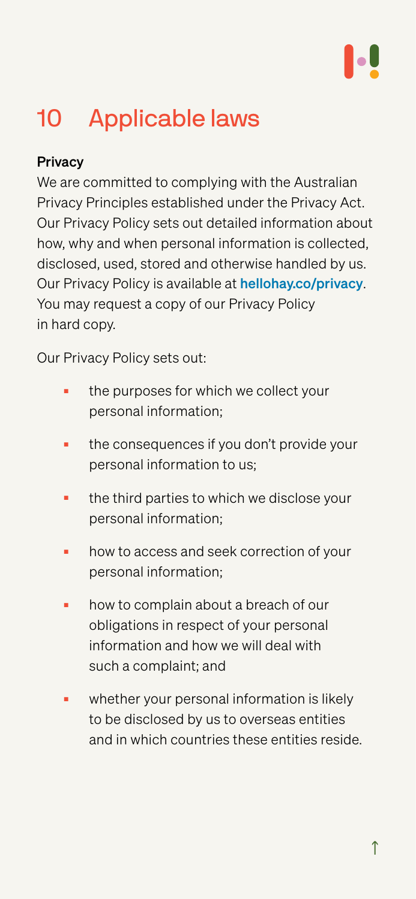# <span id="page-12-0"></span>10 Applicable laws

### **Privacy**

We are committed to complying with the Australian Privacy Principles established under the Privacy Act. Our Privacy Policy sets out detailed information about how, why and when personal information is collected, disclosed, used, stored and otherwise handled by us. Our Privacy Policy is available at [hellohay.co/privacy](https://www.hellohay.co/privacy). You may request a copy of our Privacy Policy in hard copy.

Our Privacy Policy sets out:

- the purposes for which we collect your personal information;
- the consequences if you don't provide your personal information to us;
- the third parties to which we disclose your personal information;
- how to access and seek correction of your personal information;
- how to complain about a breach of our obligations in respect of your personal information and how we will deal with
	- such a complaint; and
- whether your personal information is likely to be disclosed by us to overseas entities and in which countries these entities reside.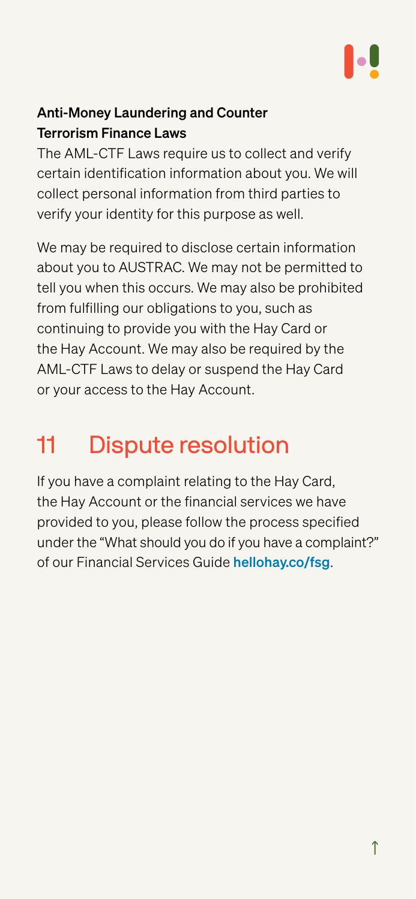### <span id="page-13-0"></span>Anti-Money Laundering and Counter Terrorism Finance Laws

The AML-CTF Laws require us to collect and verify certain identification information about you. We will collect personal information from third parties to verify your identity for this purpose as well.

We may be required to disclose certain information about you to AUSTRAC. We may not be permitted to tell you when this occurs. We may also be prohibited from fulfilling our obligations to you, such as continuing to provide you with the Hay Card or the Hay Account. We may also be required by the AML-CTF Laws to delay or suspend the Hay Card or your access to the Hay Account.

# 11 Dispute resolution

If you have a complaint relating to the Hay Card, the Hay Account or the financial services we have provided to you, please follow the process specified under the "What should you do if you have a complaint?" of our Financial Services Guide [hellohay.co/fsg](https://hellohay.co/fsg).